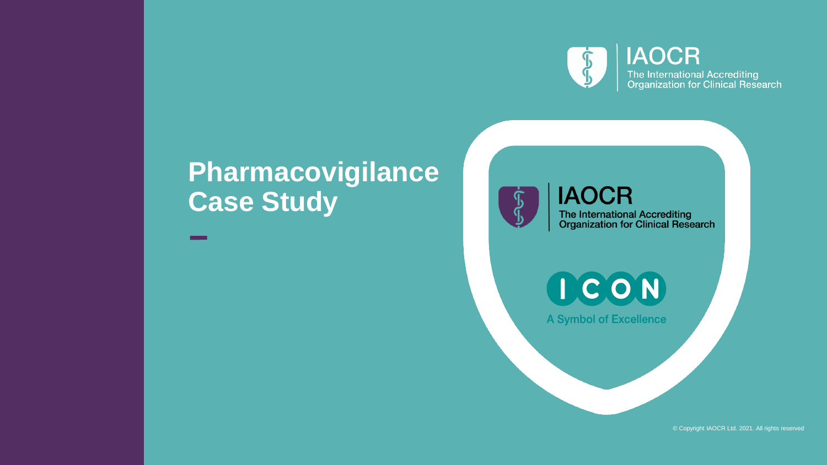

**IAOCR** The International Accrediting<br>Organization for Clinical Research

## **Pharmacovigilance Case Study**

**IAOCR** 

The International Accrediting<br>Organization for Clinical Research

ICON

**A Symbol of Excellence** 

© Copyright IAOCR Ltd. 2021. All rights reserved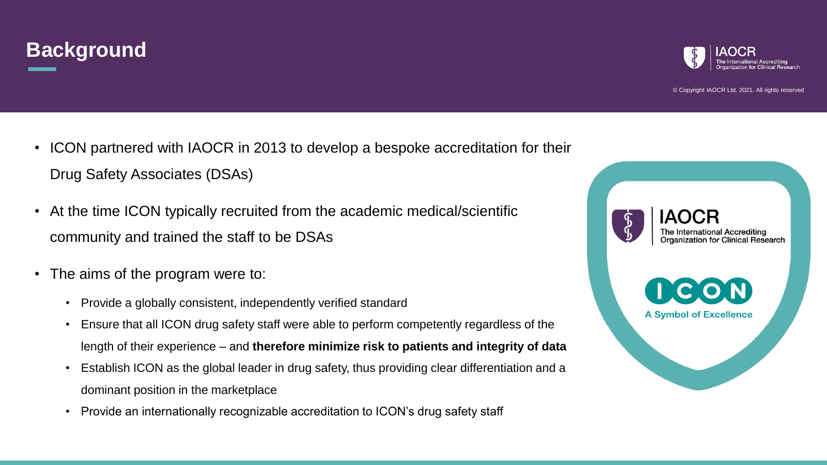



- ICON partnered with IAOCR in 2013 to develop a bespoke accreditation for their Drug Safety Associates (DSAs)
- At the time ICON typically recruited from the academic medical/scientific community and trained the staff to be DSAs
- The aims of the program were to:
	- Provide a globally consistent, independently verified standard
	- Ensure that all ICON drug safety staff were able to perform competently regardless of the length of their experience – and **therefore minimize risk to patients and integrity of data**
	- Establish ICON as the global leader in drug safety, thus providing clear differentiation and a dominant position in the marketplace
	- Provide an internationally recognizable accreditation to ICON's drug safety staff

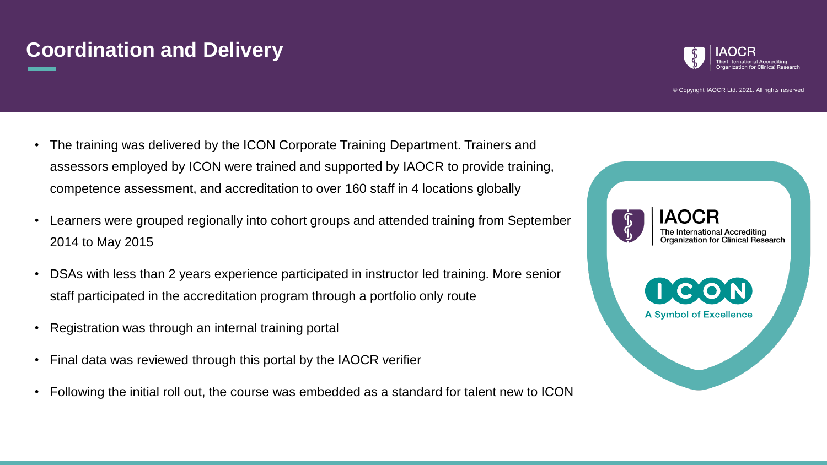## **Coordination and Delivery**



© Copyright IAOCR Ltd. 2021. All rights reserved

- The training was delivered by the ICON Corporate Training Department. Trainers and assessors employed by ICON were trained and supported by IAOCR to provide training, competence assessment, and accreditation to over 160 staff in 4 locations globally
- Learners were grouped regionally into cohort groups and attended training from September 2014 to May 2015
- DSAs with less than 2 years experience participated in instructor led training. More senior staff participated in the accreditation program through a portfolio only route
- Registration was through an internal training portal
- Final data was reviewed through this portal by the IAOCR verifier
- Following the initial roll out, the course was embedded as a standard for talent new to ICON